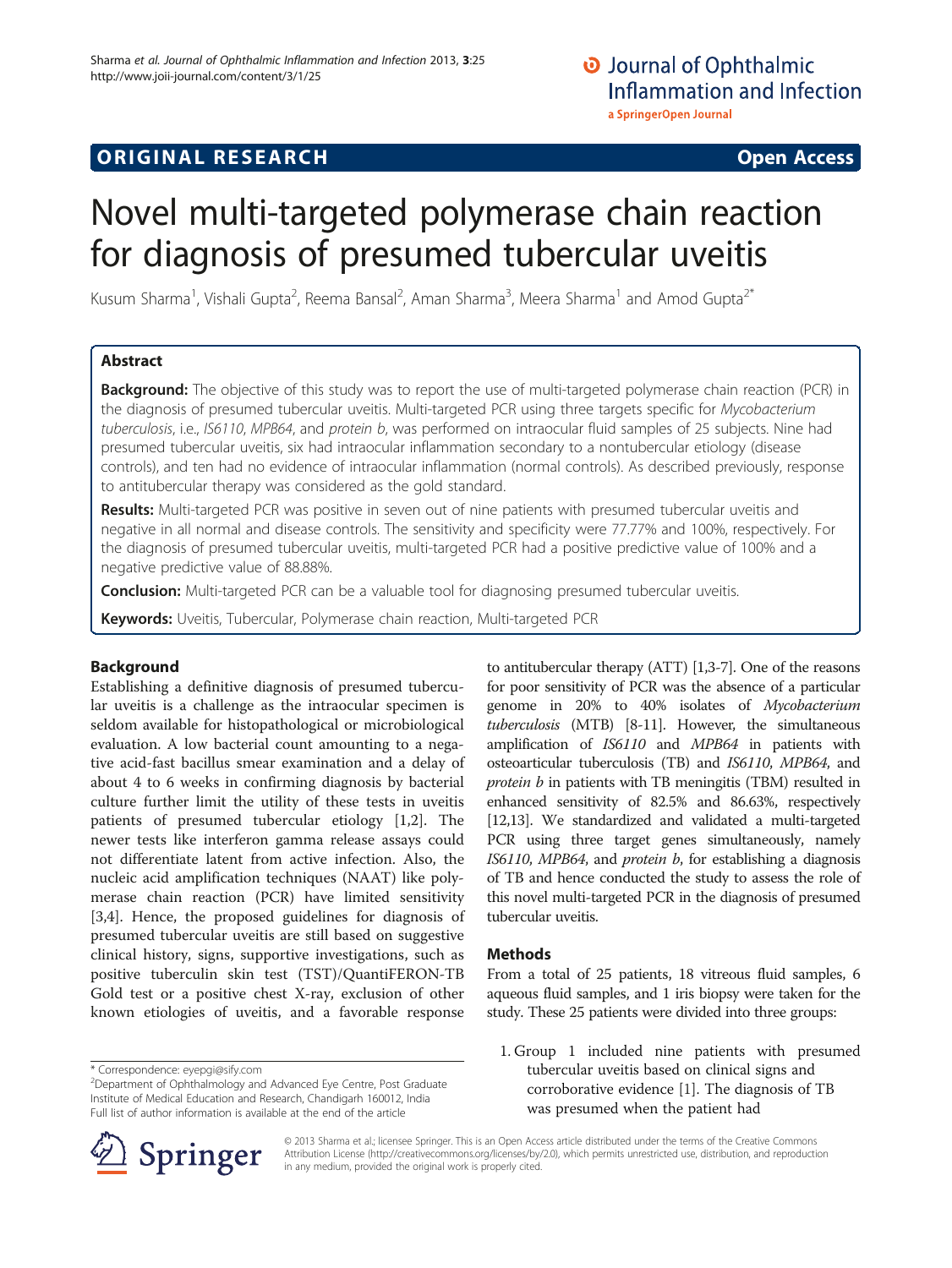# **ORIGINAL RESEARCH CONSUMING ACCESS**

# Novel multi-targeted polymerase chain reaction for diagnosis of presumed tubercular uveitis

Kusum Sharma<sup>1</sup>, Vishali Gupta<sup>2</sup>, Reema Bansal<sup>2</sup>, Aman Sharma<sup>3</sup>, Meera Sharma<sup>1</sup> and Amod Gupta<sup>2\*</sup>

# Abstract

Background: The objective of this study was to report the use of multi-targeted polymerase chain reaction (PCR) in the diagnosis of presumed tubercular uveitis. Multi-targeted PCR using three targets specific for Mycobacterium tuberculosis, i.e., IS6110, MPB64, and protein b, was performed on intraocular fluid samples of 25 subjects. Nine had presumed tubercular uveitis, six had intraocular inflammation secondary to a nontubercular etiology (disease controls), and ten had no evidence of intraocular inflammation (normal controls). As described previously, response to antitubercular therapy was considered as the gold standard.

Results: Multi-targeted PCR was positive in seven out of nine patients with presumed tubercular uveitis and negative in all normal and disease controls. The sensitivity and specificity were 77.77% and 100%, respectively. For the diagnosis of presumed tubercular uveitis, multi-targeted PCR had a positive predictive value of 100% and a negative predictive value of 88.88%.

**Conclusion:** Multi-targeted PCR can be a valuable tool for diagnosing presumed tubercular uveitis.

Keywords: Uveitis, Tubercular, Polymerase chain reaction, Multi-targeted PCR

## Background

Establishing a definitive diagnosis of presumed tubercular uveitis is a challenge as the intraocular specimen is seldom available for histopathological or microbiological evaluation. A low bacterial count amounting to a negative acid-fast bacillus smear examination and a delay of about 4 to 6 weeks in confirming diagnosis by bacterial culture further limit the utility of these tests in uveitis patients of presumed tubercular etiology [[1,2\]](#page-6-0). The newer tests like interferon gamma release assays could not differentiate latent from active infection. Also, the nucleic acid amplification techniques (NAAT) like polymerase chain reaction (PCR) have limited sensitivity [[3,4\]](#page-6-0). Hence, the proposed guidelines for diagnosis of presumed tubercular uveitis are still based on suggestive clinical history, signs, supportive investigations, such as positive tuberculin skin test (TST)/QuantiFERON-TB Gold test or a positive chest X-ray, exclusion of other known etiologies of uveitis, and a favorable response

to antitubercular therapy (ATT) [\[1,3-7\]](#page-6-0). One of the reasons for poor sensitivity of PCR was the absence of a particular genome in 20% to 40% isolates of Mycobacterium tuberculosis (MTB) [\[8-11\]](#page-6-0). However, the simultaneous amplification of IS6110 and MPB64 in patients with osteoarticular tuberculosis (TB) and IS6110, MPB64, and protein b in patients with TB meningitis (TBM) resulted in enhanced sensitivity of 82.5% and 86.63%, respectively [[12,13\]](#page-6-0). We standardized and validated a multi-targeted PCR using three target genes simultaneously, namely IS6110, MPB64, and protein b, for establishing a diagnosis of TB and hence conducted the study to assess the role of this novel multi-targeted PCR in the diagnosis of presumed tubercular uveitis.

### Methods

From a total of 25 patients, 18 vitreous fluid samples, 6 aqueous fluid samples, and 1 iris biopsy were taken for the study. These 25 patients were divided into three groups:

1. Group 1 included nine patients with presumed tubercular uveitis based on clinical signs and corroborative evidence [[1\]](#page-6-0). The diagnosis of TB was presumed when the patient had



© 2013 Sharma et al.; licensee Springer. This is an Open Access article distributed under the terms of the Creative Commons Attribution License [\(http://creativecommons.org/licenses/by/2.0\)](http://creativecommons.org/licenses/by/2.0), which permits unrestricted use, distribution, and reproduction in any medium, provided the original work is properly cited.

<sup>\*</sup> Correspondence: [eyepgi@sify.com](mailto:eyepgi@sify.com) <sup>2</sup>

<sup>&</sup>lt;sup>2</sup>Department of Ophthalmology and Advanced Eye Centre, Post Graduate Institute of Medical Education and Research, Chandigarh 160012, India Full list of author information is available at the end of the article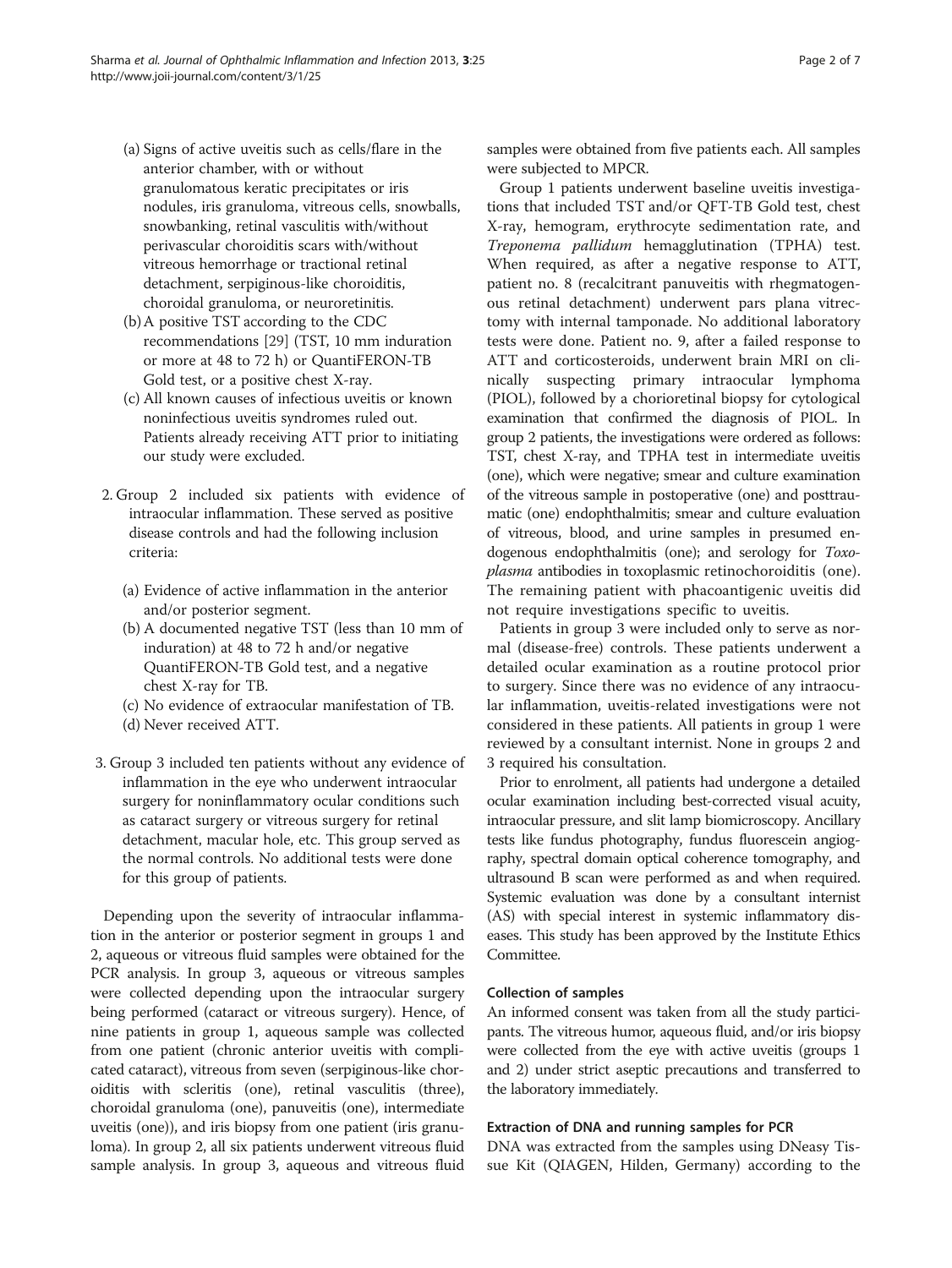- (a) Signs of active uveitis such as cells/flare in the anterior chamber, with or without granulomatous keratic precipitates or iris nodules, iris granuloma, vitreous cells, snowballs, snowbanking, retinal vasculitis with/without perivascular choroiditis scars with/without vitreous hemorrhage or tractional retinal detachment, serpiginous-like choroiditis, choroidal granuloma, or neuroretinitis.
- (b)A positive TST according to the CDC recommendations [\[29\]](#page-6-0) (TST, 10 mm induration or more at 48 to 72 h) or QuantiFERON-TB Gold test, or a positive chest X-ray.
- (c) All known causes of infectious uveitis or known noninfectious uveitis syndromes ruled out. Patients already receiving ATT prior to initiating our study were excluded.
- 2. Group 2 included six patients with evidence of intraocular inflammation. These served as positive disease controls and had the following inclusion criteria:
	- (a) Evidence of active inflammation in the anterior and/or posterior segment.
	- (b) A documented negative TST (less than 10 mm of induration) at 48 to 72 h and/or negative QuantiFERON-TB Gold test, and a negative chest X-ray for TB.
	- (c) No evidence of extraocular manifestation of TB.
	- (d) Never received ATT.
- 3. Group 3 included ten patients without any evidence of inflammation in the eye who underwent intraocular surgery for noninflammatory ocular conditions such as cataract surgery or vitreous surgery for retinal detachment, macular hole, etc. This group served as the normal controls. No additional tests were done for this group of patients.

Depending upon the severity of intraocular inflammation in the anterior or posterior segment in groups 1 and 2, aqueous or vitreous fluid samples were obtained for the PCR analysis. In group 3, aqueous or vitreous samples were collected depending upon the intraocular surgery being performed (cataract or vitreous surgery). Hence, of nine patients in group 1, aqueous sample was collected from one patient (chronic anterior uveitis with complicated cataract), vitreous from seven (serpiginous-like choroiditis with scleritis (one), retinal vasculitis (three), choroidal granuloma (one), panuveitis (one), intermediate uveitis (one)), and iris biopsy from one patient (iris granuloma). In group 2, all six patients underwent vitreous fluid sample analysis. In group 3, aqueous and vitreous fluid

samples were obtained from five patients each. All samples were subjected to MPCR.

Group 1 patients underwent baseline uveitis investigations that included TST and/or QFT-TB Gold test, chest X-ray, hemogram, erythrocyte sedimentation rate, and Treponema pallidum hemagglutination (TPHA) test. When required, as after a negative response to ATT, patient no. 8 (recalcitrant panuveitis with rhegmatogenous retinal detachment) underwent pars plana vitrectomy with internal tamponade. No additional laboratory tests were done. Patient no. 9, after a failed response to ATT and corticosteroids, underwent brain MRI on clinically suspecting primary intraocular lymphoma (PIOL), followed by a chorioretinal biopsy for cytological examination that confirmed the diagnosis of PIOL. In group 2 patients, the investigations were ordered as follows: TST, chest X-ray, and TPHA test in intermediate uveitis (one), which were negative; smear and culture examination of the vitreous sample in postoperative (one) and posttraumatic (one) endophthalmitis; smear and culture evaluation of vitreous, blood, and urine samples in presumed endogenous endophthalmitis (one); and serology for Toxoplasma antibodies in toxoplasmic retinochoroiditis (one). The remaining patient with phacoantigenic uveitis did not require investigations specific to uveitis.

Patients in group 3 were included only to serve as normal (disease-free) controls. These patients underwent a detailed ocular examination as a routine protocol prior to surgery. Since there was no evidence of any intraocular inflammation, uveitis-related investigations were not considered in these patients. All patients in group 1 were reviewed by a consultant internist. None in groups 2 and 3 required his consultation.

Prior to enrolment, all patients had undergone a detailed ocular examination including best-corrected visual acuity, intraocular pressure, and slit lamp biomicroscopy. Ancillary tests like fundus photography, fundus fluorescein angiography, spectral domain optical coherence tomography, and ultrasound B scan were performed as and when required. Systemic evaluation was done by a consultant internist (AS) with special interest in systemic inflammatory diseases. This study has been approved by the Institute Ethics Committee.

#### Collection of samples

An informed consent was taken from all the study participants. The vitreous humor, aqueous fluid, and/or iris biopsy were collected from the eye with active uveitis (groups 1 and 2) under strict aseptic precautions and transferred to the laboratory immediately.

#### Extraction of DNA and running samples for PCR

DNA was extracted from the samples using DNeasy Tissue Kit (QIAGEN, Hilden, Germany) according to the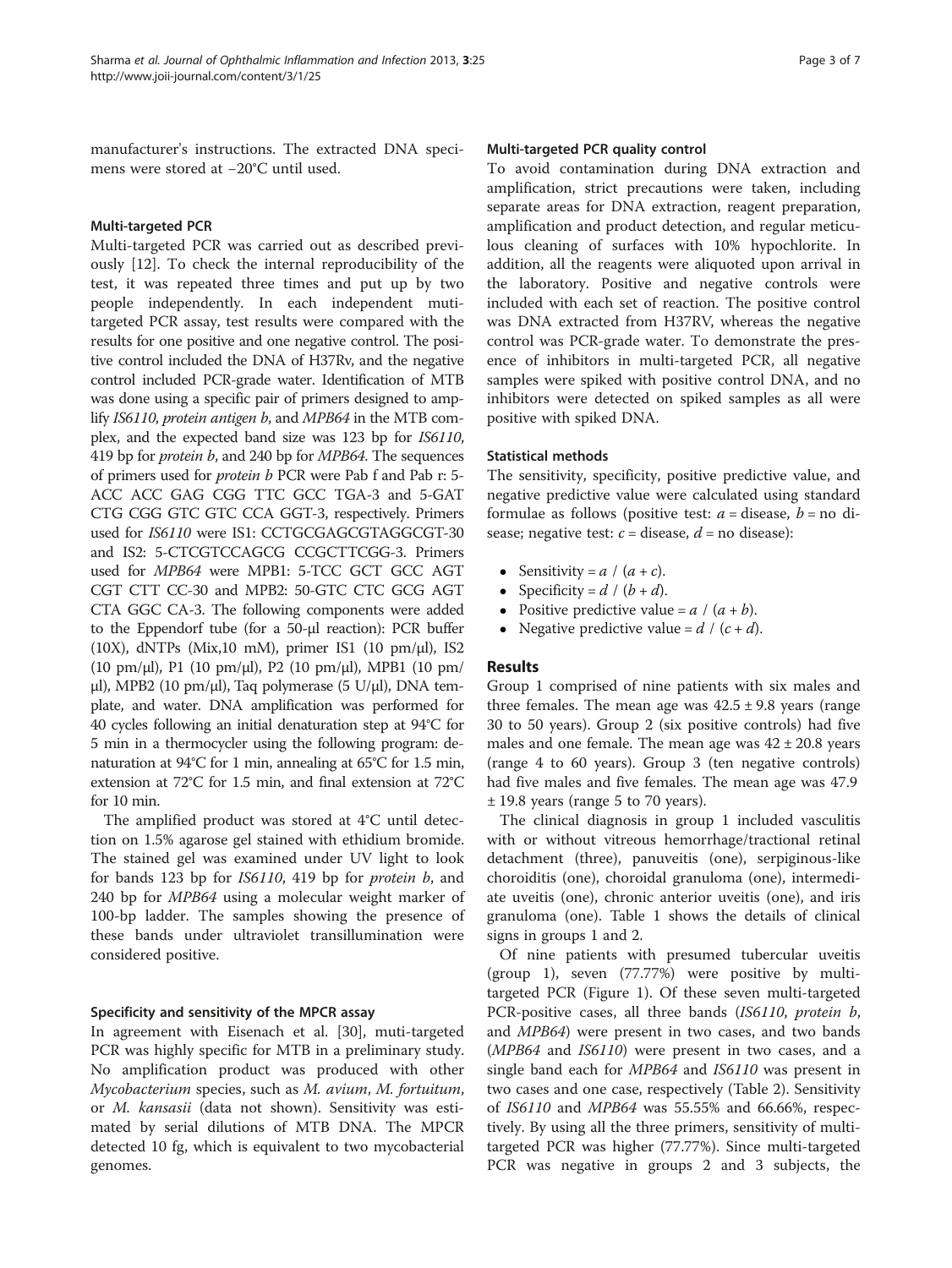manufacturer's instructions. The extracted DNA specimens were stored at −20°C until used.

#### Multi-targeted PCR

Multi-targeted PCR was carried out as described previously [\[12](#page-6-0)]. To check the internal reproducibility of the test, it was repeated three times and put up by two people independently. In each independent mutitargeted PCR assay, test results were compared with the results for one positive and one negative control. The positive control included the DNA of H37Rv, and the negative control included PCR-grade water. Identification of MTB was done using a specific pair of primers designed to amplify IS6110, protein antigen b, and MPB64 in the MTB complex, and the expected band size was 123 bp for IS6110, 419 bp for *protein b*, and 240 bp for *MPB64*. The sequences of primers used for protein b PCR were Pab f and Pab r: 5- ACC ACC GAG CGG TTC GCC TGA-3 and 5-GAT CTG CGG GTC GTC CCA GGT-3, respectively. Primers used for IS6110 were IS1: CCTGCGAGCGTAGGCGT-30 and IS2: 5-CTCGTCCAGCG CCGCTTCGG-3. Primers used for MPB64 were MPB1: 5-TCC GCT GCC AGT CGT CTT CC-30 and MPB2: 50-GTC CTC GCG AGT CTA GGC CA-3. The following components were added to the Eppendorf tube (for a 50-μl reaction): PCR buffer (10X), dNTPs (Mix,10 mM), primer IS1 (10 pm/μl), IS2 (10 pm/μl), P1 (10 pm/μl), P2 (10 pm/μl), MPB1 (10 pm/ μl), MPB2 (10 pm/μl), Taq polymerase (5 U/μl), DNA template, and water. DNA amplification was performed for 40 cycles following an initial denaturation step at 94°C for 5 min in a thermocycler using the following program: denaturation at 94°C for 1 min, annealing at 65°C for 1.5 min, extension at 72°C for 1.5 min, and final extension at 72°C for 10 min.

The amplified product was stored at 4°C until detection on 1.5% agarose gel stained with ethidium bromide. The stained gel was examined under UV light to look for bands 123 bp for IS6110, 419 bp for protein b, and 240 bp for MPB64 using a molecular weight marker of 100-bp ladder. The samples showing the presence of these bands under ultraviolet transillumination were considered positive.

#### Specificity and sensitivity of the MPCR assay

In agreement with Eisenach et al. [\[30\]](#page-6-0), muti-targeted PCR was highly specific for MTB in a preliminary study. No amplification product was produced with other Mycobacterium species, such as M. avium, M. fortuitum, or M. kansasii (data not shown). Sensitivity was estimated by serial dilutions of MTB DNA. The MPCR detected 10 fg, which is equivalent to two mycobacterial genomes.

#### Multi-targeted PCR quality control

To avoid contamination during DNA extraction and amplification, strict precautions were taken, including separate areas for DNA extraction, reagent preparation, amplification and product detection, and regular meticulous cleaning of surfaces with 10% hypochlorite. In addition, all the reagents were aliquoted upon arrival in the laboratory. Positive and negative controls were included with each set of reaction. The positive control was DNA extracted from H37RV, whereas the negative control was PCR-grade water. To demonstrate the presence of inhibitors in multi-targeted PCR, all negative samples were spiked with positive control DNA, and no inhibitors were detected on spiked samples as all were positive with spiked DNA.

#### Statistical methods

The sensitivity, specificity, positive predictive value, and negative predictive value were calculated using standard formulae as follows (positive test:  $a =$  disease,  $b =$  no disease; negative test:  $c =$  disease,  $d =$  no disease):

- Sensitivity =  $a / (a + c)$ .
- Specificity =  $d / (b + d)$ .
- Positive predictive value =  $a / (a + b)$ .
- Negative predictive value =  $d / (c + d)$ .

#### Results

Group 1 comprised of nine patients with six males and three females. The mean age was  $42.5 \pm 9.8$  years (range 30 to 50 years). Group 2 (six positive controls) had five males and one female. The mean age was  $42 \pm 20.8$  years (range 4 to 60 years). Group 3 (ten negative controls) had five males and five females. The mean age was 47.9  $± 19.8$  years (range 5 to 70 years).

The clinical diagnosis in group 1 included vasculitis with or without vitreous hemorrhage/tractional retinal detachment (three), panuveitis (one), serpiginous-like choroiditis (one), choroidal granuloma (one), intermediate uveitis (one), chronic anterior uveitis (one), and iris granuloma (one). Table [1](#page-3-0) shows the details of clinical signs in groups 1 and 2.

Of nine patients with presumed tubercular uveitis (group 1), seven (77.77%) were positive by multitargeted PCR (Figure [1](#page-3-0)). Of these seven multi-targeted PCR-positive cases, all three bands (IS6110, protein b, and MPB64) were present in two cases, and two bands (MPB64 and IS6110) were present in two cases, and a single band each for MPB64 and IS6110 was present in two cases and one case, respectively (Table [2\)](#page-4-0). Sensitivity of IS6110 and MPB64 was 55.55% and 66.66%, respectively. By using all the three primers, sensitivity of multitargeted PCR was higher (77.77%). Since multi-targeted PCR was negative in groups 2 and 3 subjects, the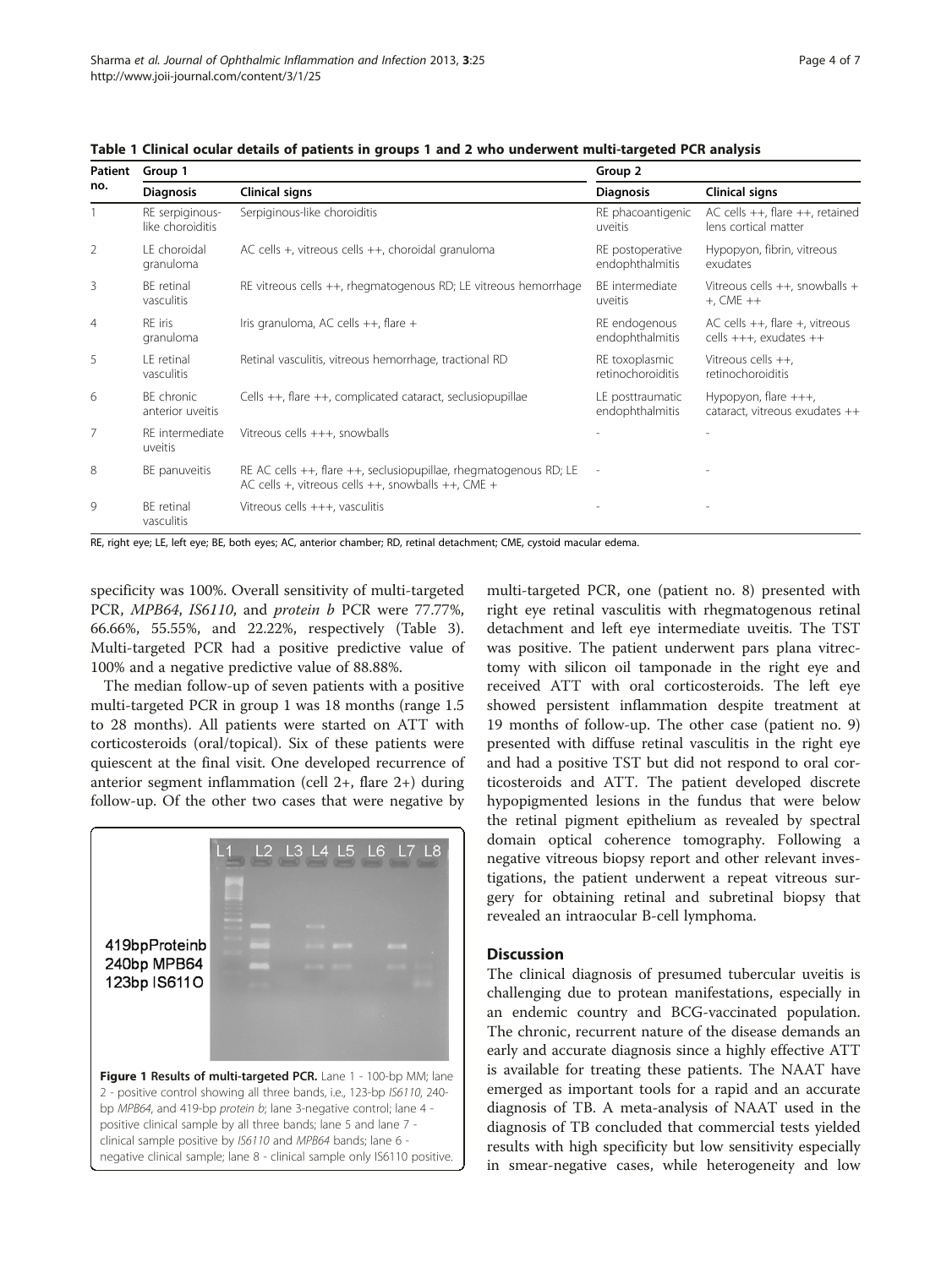| Patient<br>no. | Group 1                             |                                                                                                                         | Group 2                                    |                                                                     |  |
|----------------|-------------------------------------|-------------------------------------------------------------------------------------------------------------------------|--------------------------------------------|---------------------------------------------------------------------|--|
|                | <b>Diagnosis</b>                    | Clinical signs                                                                                                          | <b>Diagnosis</b>                           | <b>Clinical signs</b>                                               |  |
|                | RE serpiginous-<br>like choroiditis | Serpiginous-like choroiditis                                                                                            | RE phacoantigenic<br>uveitis               | AC cells $++$ , flare $++$ , retained<br>lens cortical matter       |  |
| 2              | LE choroidal<br>granuloma           | AC cells +, vitreous cells ++, choroidal granuloma                                                                      | RE postoperative<br>endophthalmitis        | Hypopyon, fibrin, vitreous<br>exudates                              |  |
| $\overline{3}$ | BE retinal<br>vasculitis            | RE vitreous cells ++, rhegmatogenous RD; LE vitreous hemorrhage                                                         | BE intermediate<br>uveitis                 | Vitreous cells $++$ , snowballs $+$<br>$+$ , CME $++$               |  |
| 4              | RE iris<br>granuloma                | Iris granuloma, AC cells $++$ , flare $+$                                                                               | RE endogenous<br>endophthalmitis           | AC cells $++$ , flare $+$ , vitreous<br>cells $+++$ , exudates $++$ |  |
| 5              | LE retinal<br>vasculitis            | Retinal vasculitis, vitreous hemorrhage, tractional RD                                                                  | RE toxoplasmic<br><i>retinochoroiditis</i> | Vitreous cells ++,<br>retinochoroiditis                             |  |
| 6              | BE chronic<br>anterior uveitis      | Cells ++, flare ++, complicated cataract, seclusiopupillae                                                              | LE posttraumatic<br>endophthalmitis        | Hypopyon, flare $+++$ ,<br>cataract, vitreous exudates ++           |  |
| 7              | RE intermediate<br>uveitis          | Vitreous cells +++, snowballs                                                                                           |                                            |                                                                     |  |
| 8              | BE panuveitis                       | RE AC cells ++, flare ++, seclusiopupillae, rhegmatogenous RD; LE<br>AC cells +, vitreous cells ++, snowballs ++, CME + | Ĭ.                                         |                                                                     |  |
| 9              | BE retinal<br>vasculitis            | Vitreous cells +++, vasculitis                                                                                          |                                            |                                                                     |  |

<span id="page-3-0"></span>Table 1 Clinical ocular details of patients in groups 1 and 2 who underwent multi-targeted PCR analysis

RE, right eye; LE, left eye; BE, both eyes; AC, anterior chamber; RD, retinal detachment; CME, cystoid macular edema.

specificity was 100%. Overall sensitivity of multi-targeted PCR, MPB64, IS6110, and protein b PCR were 77.77%, 66.66%, 55.55%, and 22.22%, respectively (Table [3](#page-4-0)). Multi-targeted PCR had a positive predictive value of 100% and a negative predictive value of 88.88%.

The median follow-up of seven patients with a positive multi-targeted PCR in group 1 was 18 months (range 1.5 to 28 months). All patients were started on ATT with corticosteroids (oral/topical). Six of these patients were quiescent at the final visit. One developed recurrence of anterior segment inflammation (cell 2+, flare 2+) during follow-up. Of the other two cases that were negative by



multi-targeted PCR, one (patient no. 8) presented with right eye retinal vasculitis with rhegmatogenous retinal detachment and left eye intermediate uveitis. The TST was positive. The patient underwent pars plana vitrectomy with silicon oil tamponade in the right eye and received ATT with oral corticosteroids. The left eye showed persistent inflammation despite treatment at 19 months of follow-up. The other case (patient no. 9) presented with diffuse retinal vasculitis in the right eye and had a positive TST but did not respond to oral corticosteroids and ATT. The patient developed discrete hypopigmented lesions in the fundus that were below the retinal pigment epithelium as revealed by spectral domain optical coherence tomography. Following a negative vitreous biopsy report and other relevant investigations, the patient underwent a repeat vitreous surgery for obtaining retinal and subretinal biopsy that revealed an intraocular B-cell lymphoma.

#### **Discussion**

The clinical diagnosis of presumed tubercular uveitis is challenging due to protean manifestations, especially in an endemic country and BCG-vaccinated population. The chronic, recurrent nature of the disease demands an early and accurate diagnosis since a highly effective ATT is available for treating these patients. The NAAT have emerged as important tools for a rapid and an accurate diagnosis of TB. A meta-analysis of NAAT used in the diagnosis of TB concluded that commercial tests yielded results with high specificity but low sensitivity especially in smear-negative cases, while heterogeneity and low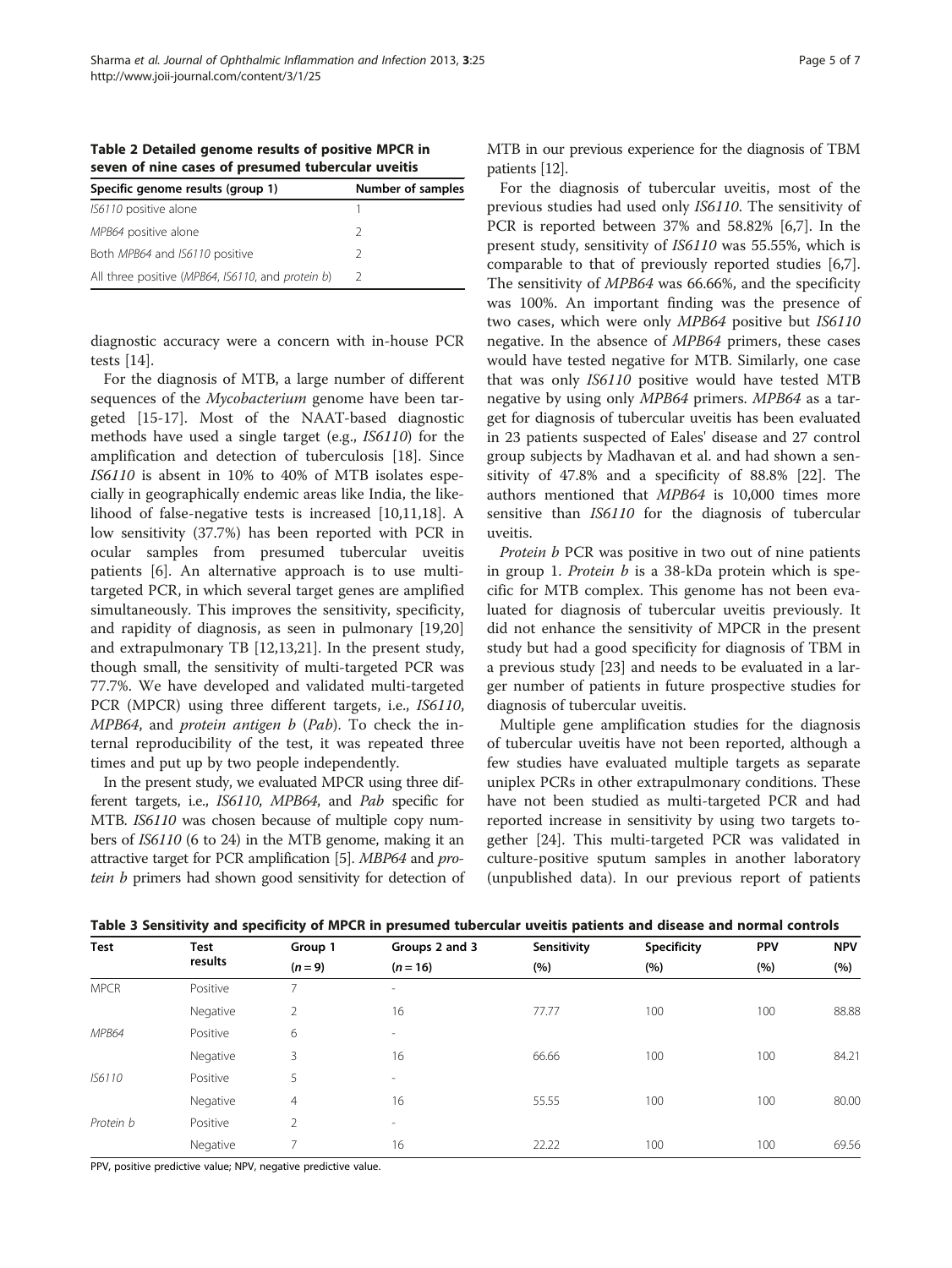| seven of nine cases of presumed tubercular uveitis |                   |  |  |  |  |  |
|----------------------------------------------------|-------------------|--|--|--|--|--|
| Specific genome results (group 1)                  | Number of samples |  |  |  |  |  |
| IS6110 positive alone                              |                   |  |  |  |  |  |
| MPB64 positive alone                               |                   |  |  |  |  |  |
| Both MPB64 and IS6110 positive                     |                   |  |  |  |  |  |
| All three positive (MPB64, IS6110, and protein b)  |                   |  |  |  |  |  |

<span id="page-4-0"></span>Table 2 Detailed genome results of positive MPCR in seven of nine cases of presumed tubercular uveitis

diagnostic accuracy were a concern with in-house PCR tests [\[14](#page-6-0)].

For the diagnosis of MTB, a large number of different sequences of the *Mycobacterium* genome have been targeted [[15-17](#page-6-0)]. Most of the NAAT-based diagnostic methods have used a single target (e.g., IS6110) for the amplification and detection of tuberculosis [[18](#page-6-0)]. Since IS6110 is absent in 10% to 40% of MTB isolates especially in geographically endemic areas like India, the likelihood of false-negative tests is increased [[10,11,18\]](#page-6-0). A low sensitivity (37.7%) has been reported with PCR in ocular samples from presumed tubercular uveitis patients [\[6](#page-6-0)]. An alternative approach is to use multitargeted PCR, in which several target genes are amplified simultaneously. This improves the sensitivity, specificity, and rapidity of diagnosis, as seen in pulmonary [[19](#page-6-0),[20](#page-6-0)] and extrapulmonary TB [\[12,13,21\]](#page-6-0). In the present study, though small, the sensitivity of multi-targeted PCR was 77.7%. We have developed and validated multi-targeted PCR (MPCR) using three different targets, i.e., IS6110, MPB64, and protein antigen b (Pab). To check the internal reproducibility of the test, it was repeated three times and put up by two people independently.

In the present study, we evaluated MPCR using three different targets, i.e., IS6110, MPB64, and Pab specific for MTB. IS6110 was chosen because of multiple copy numbers of IS6110 (6 to 24) in the MTB genome, making it an attractive target for PCR amplification [\[5\]](#page-6-0). MBP64 and protein b primers had shown good sensitivity for detection of MTB in our previous experience for the diagnosis of TBM patients [\[12](#page-6-0)].

For the diagnosis of tubercular uveitis, most of the previous studies had used only IS6110. The sensitivity of PCR is reported between 37% and 58.82% [\[6,7](#page-6-0)]. In the present study, sensitivity of IS6110 was 55.55%, which is comparable to that of previously reported studies [\[6,7](#page-6-0)]. The sensitivity of MPB64 was 66.66%, and the specificity was 100%. An important finding was the presence of two cases, which were only MPB64 positive but IS6110 negative. In the absence of MPB64 primers, these cases would have tested negative for MTB. Similarly, one case that was only IS6110 positive would have tested MTB negative by using only MPB64 primers. MPB64 as a target for diagnosis of tubercular uveitis has been evaluated in 23 patients suspected of Eales' disease and 27 control group subjects by Madhavan et al. and had shown a sensitivity of 47.8% and a specificity of 88.8% [[22\]](#page-6-0). The authors mentioned that MPB64 is 10,000 times more sensitive than IS6110 for the diagnosis of tubercular uveitis.

*Protein b* PCR was positive in two out of nine patients in group 1. Protein b is a 38-kDa protein which is specific for MTB complex. This genome has not been evaluated for diagnosis of tubercular uveitis previously. It did not enhance the sensitivity of MPCR in the present study but had a good specificity for diagnosis of TBM in a previous study [[23](#page-6-0)] and needs to be evaluated in a larger number of patients in future prospective studies for diagnosis of tubercular uveitis.

Multiple gene amplification studies for the diagnosis of tubercular uveitis have not been reported, although a few studies have evaluated multiple targets as separate uniplex PCRs in other extrapulmonary conditions. These have not been studied as multi-targeted PCR and had reported increase in sensitivity by using two targets together [[24](#page-6-0)]. This multi-targeted PCR was validated in culture-positive sputum samples in another laboratory (unpublished data). In our previous report of patients

| <b>Test</b> | <b>Test</b><br>results | Group 1<br>$(n = 9)$ | Groups 2 and 3<br>$(n = 16)$ | Sensitivity<br>(%) | Specificity<br>(% ) | <b>PPV</b><br>(%) | <b>NPV</b><br>(%) |
|-------------|------------------------|----------------------|------------------------------|--------------------|---------------------|-------------------|-------------------|
|             |                        |                      |                              |                    |                     |                   |                   |
| <b>MPCR</b> | Positive               |                      | $\sim$                       |                    |                     |                   |                   |
|             | Negative               | 2                    | 16                           | 77.77              | 100                 | 100               | 88.88             |
| MPB64       | Positive               | 6                    | $\sim$                       |                    |                     |                   |                   |
|             | Negative               | 3                    | 16                           | 66.66              | 100                 | 100               | 84.21             |
| IS6110      | Positive               | 5                    | $\sim$                       |                    |                     |                   |                   |
|             | Negative               | $\overline{4}$       | 16                           | 55.55              | 100                 | 100               | 80.00             |
| Protein b   | Positive               | $\overline{2}$       | $\sim$                       |                    |                     |                   |                   |
|             | Negative               |                      | 16                           | 22.22              | 100                 | 100               | 69.56             |

Table 3 Sensitivity and specificity of MPCR in presumed tubercular uveitis patients and disease and normal controls

PPV, positive predictive value; NPV, negative predictive value.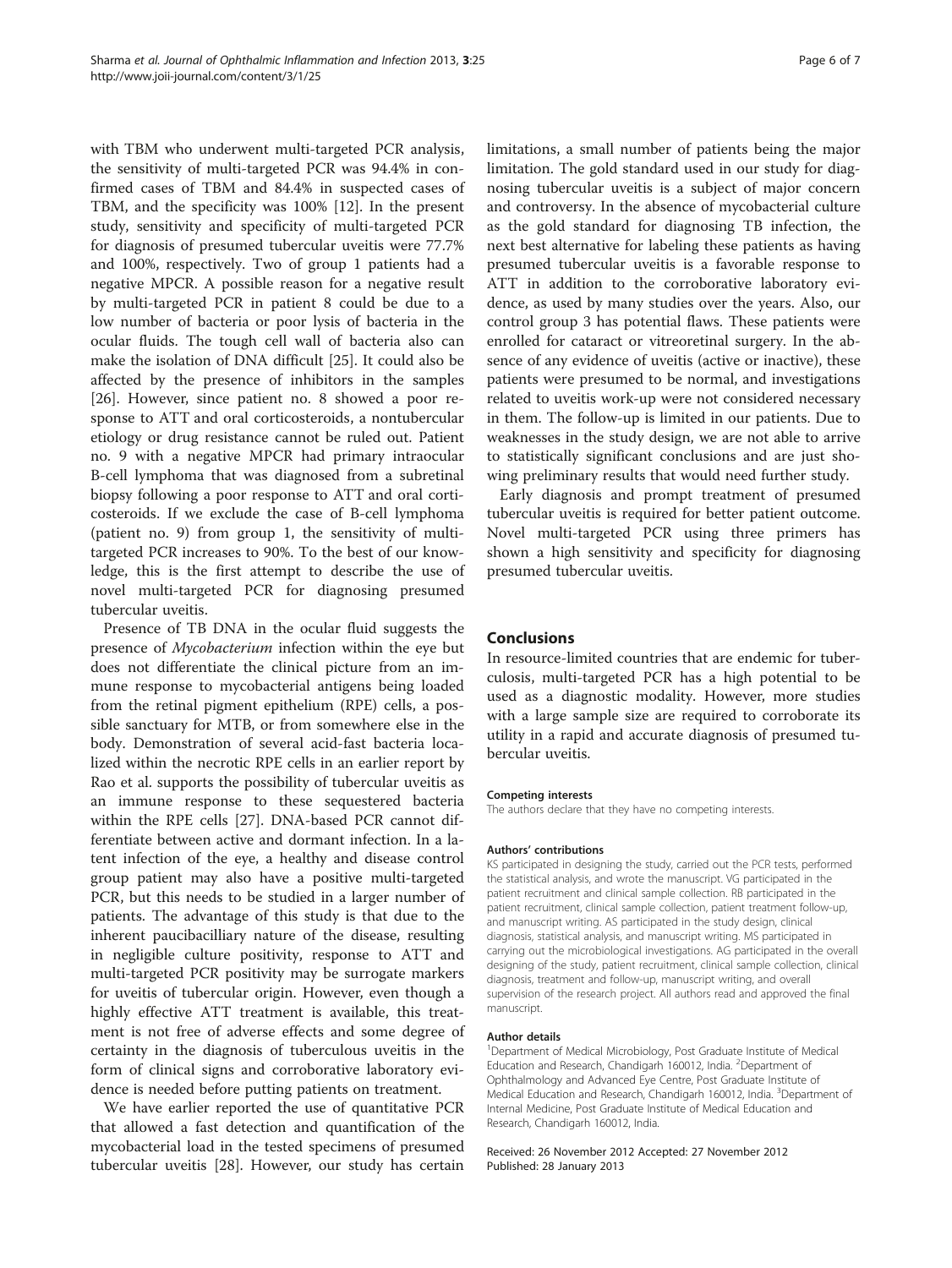with TBM who underwent multi-targeted PCR analysis, the sensitivity of multi-targeted PCR was 94.4% in confirmed cases of TBM and 84.4% in suspected cases of TBM, and the specificity was 100% [\[12\]](#page-6-0). In the present study, sensitivity and specificity of multi-targeted PCR for diagnosis of presumed tubercular uveitis were 77.7% and 100%, respectively. Two of group 1 patients had a negative MPCR. A possible reason for a negative result by multi-targeted PCR in patient 8 could be due to a low number of bacteria or poor lysis of bacteria in the ocular fluids. The tough cell wall of bacteria also can make the isolation of DNA difficult [[25\]](#page-6-0). It could also be affected by the presence of inhibitors in the samples [[26\]](#page-6-0). However, since patient no. 8 showed a poor response to ATT and oral corticosteroids, a nontubercular etiology or drug resistance cannot be ruled out. Patient no. 9 with a negative MPCR had primary intraocular B-cell lymphoma that was diagnosed from a subretinal biopsy following a poor response to ATT and oral corticosteroids. If we exclude the case of B-cell lymphoma (patient no. 9) from group 1, the sensitivity of multitargeted PCR increases to 90%. To the best of our knowledge, this is the first attempt to describe the use of novel multi-targeted PCR for diagnosing presumed tubercular uveitis.

Presence of TB DNA in the ocular fluid suggests the presence of Mycobacterium infection within the eye but does not differentiate the clinical picture from an immune response to mycobacterial antigens being loaded from the retinal pigment epithelium (RPE) cells, a possible sanctuary for MTB, or from somewhere else in the body. Demonstration of several acid-fast bacteria localized within the necrotic RPE cells in an earlier report by Rao et al. supports the possibility of tubercular uveitis as an immune response to these sequestered bacteria within the RPE cells [\[27\]](#page-6-0). DNA-based PCR cannot differentiate between active and dormant infection. In a latent infection of the eye, a healthy and disease control group patient may also have a positive multi-targeted PCR, but this needs to be studied in a larger number of patients. The advantage of this study is that due to the inherent paucibacilliary nature of the disease, resulting in negligible culture positivity, response to ATT and multi-targeted PCR positivity may be surrogate markers for uveitis of tubercular origin. However, even though a highly effective ATT treatment is available, this treatment is not free of adverse effects and some degree of certainty in the diagnosis of tuberculous uveitis in the form of clinical signs and corroborative laboratory evidence is needed before putting patients on treatment.

We have earlier reported the use of quantitative PCR that allowed a fast detection and quantification of the mycobacterial load in the tested specimens of presumed tubercular uveitis [\[28\]](#page-6-0). However, our study has certain limitations, a small number of patients being the major limitation. The gold standard used in our study for diagnosing tubercular uveitis is a subject of major concern and controversy. In the absence of mycobacterial culture as the gold standard for diagnosing TB infection, the next best alternative for labeling these patients as having presumed tubercular uveitis is a favorable response to ATT in addition to the corroborative laboratory evidence, as used by many studies over the years. Also, our control group 3 has potential flaws. These patients were enrolled for cataract or vitreoretinal surgery. In the absence of any evidence of uveitis (active or inactive), these patients were presumed to be normal, and investigations related to uveitis work-up were not considered necessary in them. The follow-up is limited in our patients. Due to weaknesses in the study design, we are not able to arrive to statistically significant conclusions and are just showing preliminary results that would need further study.

Early diagnosis and prompt treatment of presumed tubercular uveitis is required for better patient outcome. Novel multi-targeted PCR using three primers has shown a high sensitivity and specificity for diagnosing presumed tubercular uveitis.

#### Conclusions

In resource-limited countries that are endemic for tuberculosis, multi-targeted PCR has a high potential to be used as a diagnostic modality. However, more studies with a large sample size are required to corroborate its utility in a rapid and accurate diagnosis of presumed tubercular uveitis.

#### Competing interests

The authors declare that they have no competing interests.

#### Authors' contributions

KS participated in designing the study, carried out the PCR tests, performed the statistical analysis, and wrote the manuscript. VG participated in the patient recruitment and clinical sample collection. RB participated in the patient recruitment, clinical sample collection, patient treatment follow-up, and manuscript writing. AS participated in the study design, clinical diagnosis, statistical analysis, and manuscript writing. MS participated in carrying out the microbiological investigations. AG participated in the overall designing of the study, patient recruitment, clinical sample collection, clinical diagnosis, treatment and follow-up, manuscript writing, and overall supervision of the research project. All authors read and approved the final manuscript.

#### Author details

<sup>1</sup>Department of Medical Microbiology, Post Graduate Institute of Medical Education and Research, Chandigarh 160012, India. <sup>2</sup>Department of Ophthalmology and Advanced Eye Centre, Post Graduate Institute of Medical Education and Research, Chandigarh 160012, India. <sup>3</sup>Department of Internal Medicine, Post Graduate Institute of Medical Education and Research, Chandigarh 160012, India.

Received: 26 November 2012 Accepted: 27 November 2012 Published: 28 January 2013